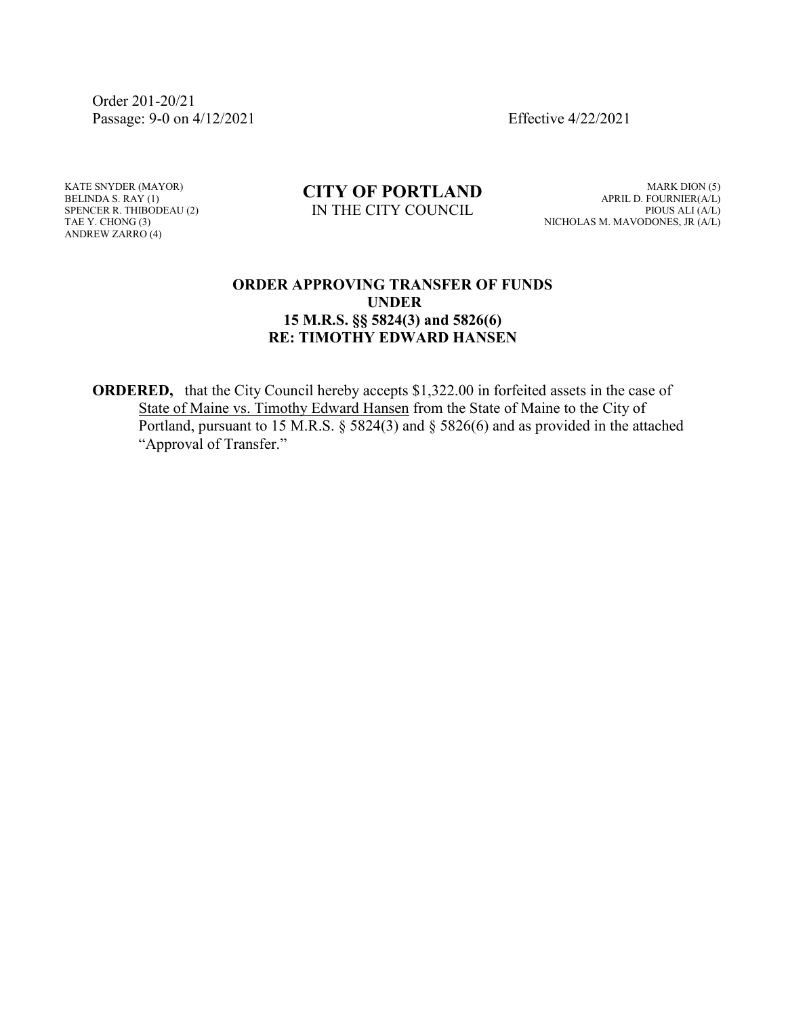Order 201-20/21 Passage: 9-0 on 4/12/2021 Effective 4/22/2021

KATE SNYDER (MAYOR) BELINDA S. RAY (1) SPENCER R. THIBODEAU (2) TAE Y. CHONG (3) ANDREW ZARRO (4)

## **CITY OF PORTLAND** IN THE CITY COUNCIL

MARK DION (5) APRIL D. FOURNIER(A/L) PIOUS ALI (A/L) NICHOLAS M. MAVODONES, JR (A/L)

## **ORDER APPROVING TRANSFER OF FUNDS UNDER 15 M.R.S. §§ 5824(3) and 5826(6) RE: TIMOTHY EDWARD HANSEN**

**ORDERED,** that the City Council hereby accepts \$1,322.00 in forfeited assets in the case of State of Maine vs. Timothy Edward Hansen from the State of Maine to the City of Portland, pursuant to 15 M.R.S. § 5824(3) and § 5826(6) and as provided in the attached "Approval of Transfer."